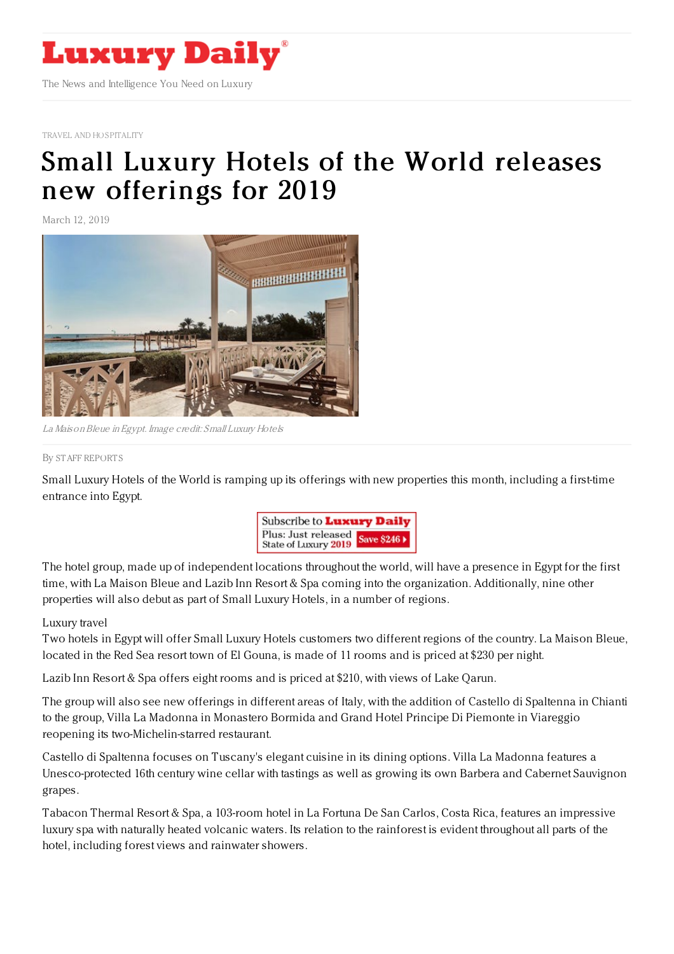

TRAVEL AND [HOSPITALITY](https://www.luxurydaily.com/category/sectors/travel-and-hospitality)

## Small Luxury Hotels of the World releases new [offerings](https://www.luxurydaily.com/small-luxury-hotels-of-the-world-releases-new-offerings-for-2019/) for 2019

March 12, 2019



La MaisonBleue in Egypt. Image credit: Small Luxury Hotels

## By STAFF [REPORT](file:///author/staff-reports) S

Small Luxury Hotels of the World is ramping up its offerings with new properties this month, including a first-time entrance into Egypt.



The hotel group, made up of independent locations throughout the world, will have a presence in Egypt for the first time, with La Maison Bleue and Lazib Inn Resort & Spa coming into the organization. Additionally, nine other properties will also debut as part of Small Luxury Hotels, in a number of regions.

## Luxury travel

Two hotels in Egypt will offer Small Luxury Hotels customers two different regions of the country. La Maison Bleue, located in the Red Sea resort town of El Gouna, is made of 11 rooms and is priced at \$230 per night.

Lazib Inn Resort & Spa offers eight rooms and is priced at \$210, with views of Lake Qarun.

The group will also see new offerings in different areas of Italy, with the addition of Castello di Spaltenna in Chianti to the group, Villa La Madonna in Monastero Bormida and Grand Hotel Principe Di Piemonte in Viareggio reopening its two-Michelin-starred restaurant.

Castello di Spaltenna focuses on Tuscany's elegant cuisine in its dining options. Villa La Madonna features a Unesco-protected 16th century wine cellar with tastings as well as growing its own Barbera and Cabernet Sauvignon grapes.

Tabacon Thermal Resort & Spa, a 103-room hotel in La Fortuna De San Carlos, Costa Rica, features an impressive luxury spa with naturally heated volcanic waters. Its relation to the rainforest is evident throughout all parts of the hotel, including forest views and rainwater showers.